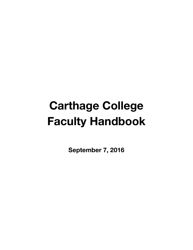# **Carthage College Faculty Handbook**

**September 7, 2016**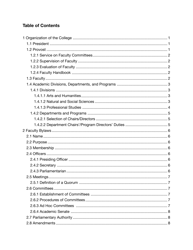# **Table of Contents**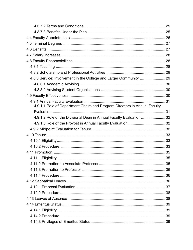| 4.9.1.1 Role of Department Chairs and Program Directors in Annual Faculty |  |
|---------------------------------------------------------------------------|--|
|                                                                           |  |
| 4.9.1.2 Role of the Divisional Dean in Annual Faculty Evaluation  32      |  |
|                                                                           |  |
|                                                                           |  |
|                                                                           |  |
|                                                                           |  |
|                                                                           |  |
|                                                                           |  |
|                                                                           |  |
|                                                                           |  |
|                                                                           |  |
|                                                                           |  |
|                                                                           |  |
|                                                                           |  |
|                                                                           |  |
|                                                                           |  |
|                                                                           |  |
|                                                                           |  |
|                                                                           |  |
|                                                                           |  |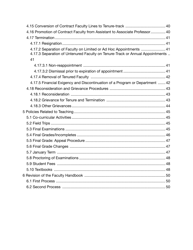| 4.16 Promotion of Contract Faculty from Assistant to Associate Professor 40                                                                         |    |
|-----------------------------------------------------------------------------------------------------------------------------------------------------|----|
|                                                                                                                                                     |    |
|                                                                                                                                                     |    |
| 4.17.2 Separation of Faculty on Limited or Ad Hoc Appointments  41<br>4.17.3 Separation of Untenured Faculty on Tenure-Track or Annual Appointments |    |
| 41                                                                                                                                                  |    |
|                                                                                                                                                     |    |
|                                                                                                                                                     |    |
|                                                                                                                                                     |    |
| 4.17.5 Financial Exigency and Discontinuation of a Program or Department  42                                                                        |    |
|                                                                                                                                                     |    |
|                                                                                                                                                     |    |
|                                                                                                                                                     |    |
|                                                                                                                                                     |    |
|                                                                                                                                                     |    |
|                                                                                                                                                     |    |
|                                                                                                                                                     |    |
|                                                                                                                                                     |    |
|                                                                                                                                                     |    |
|                                                                                                                                                     |    |
|                                                                                                                                                     |    |
|                                                                                                                                                     |    |
|                                                                                                                                                     |    |
| 5.9 Student Fees                                                                                                                                    | 48 |
|                                                                                                                                                     |    |
|                                                                                                                                                     |    |
|                                                                                                                                                     |    |
|                                                                                                                                                     |    |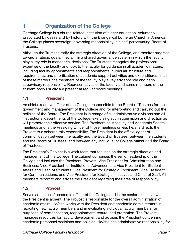# **1 Organization of the College**

Carthage College is a church-related institution of higher education. Voluntarily associated by desire and by history with the Evangelical Lutheran Church in America, the College places sovereign, governing responsibility in a self-perpetuating Board of Trustees.

Although the Trustees ratify the strategic direction of the College, and monitor progress toward strategic goals, they affirm a shared governance system in which the faculty play a key role in managerial decisions. The Trustees recognize the professional expertise of the faculty and look to the faculty for guidance in all academic matters, including faculty appointments and reappointments, curricular structure and requirements, and prioritization of academic support activities and expenditures. In all of these matters, the members of the faculty play a key advisory role and carry supervisory responsibility. Representatives of the faculty and some members of the student body usually are present at regular board meetings.

## **1.1 President**

As chief executive officer of the College, responsible to the Board of Trustees for the government and management of the College and for interpreting and carrying out the policies of the Board. The President is in charge of all administrative divisions and all instructional departments of the College, exercising such supervision and direction as will promote their effective service. The President calls faculty and Academic Senate meetings and is the Presiding Officer of those meetings unless he/she directs the Provost to discharge this responsibility. The President is the official agent of communication between the faculty and the Board of Trustees, between the students and the Board of Trustees, and between any individual or College officer and the Board of Trustees.

The President's Cabinet is a work team that focuses on the strategic direction and management of the College. The cabinet comprises the senior leadership of the College and includes the President, Provost, Vice President for Administration and Business, Vice President for Institutional Advancement, Vice President for Student Affairs and Dean of Students, Vice President for Strategic Enrollment, Vice President for Communications, and Vice President for Strategic Initiatives and Chief of Staff. All members report to and advise the President regarding their area of responsibility.

## **1.2 Provost**

Serves as the chief academic officer of the College and is the senior executive when the President is absent. The Provost is responsible for the overall administration of academic affairs. He/she works with the President and academic administrators in recruiting new faculty members and in evaluating individual faculty members for purposes of compensation, reappointment, tenure, and promotion. The Provost manages resources for faculty development and advises the President concerning academic personnel decisions and policies. He/she has administrative responsibility for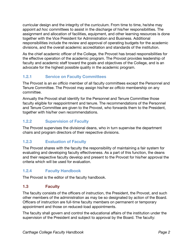curricular design and the integrity of the curriculum. From time to time, he/she may appoint *ad hoc* committees to assist in the discharge of his/her responsibilities. The assignment and allocation of facilities, equipment, and other learning resources is done together with the Vice President for Administration and Business. Additional responsibilities include the review and approval of operating budgets for the academic divisions, and the overall academic accreditation and standards of the institution.

As the chief academic officer of the College, the Provost has broad responsibilities for the effective operation of the academic program. The Provost provides leadership of faculty and academic staff toward the goals and objectives of the College, and is an advocate for the highest possible quality in the academic program.

## **1.2.1 Service on Faculty Committees**

The Provost is an *ex officio* member of all faculty committees except the Personnel and Tenure Committee. The Provost may assign his/her *ex officio* membership on any committee.

Annually the Provost shall identify for the Personnel and Tenure Committee those faculty eligible for reappointment and tenure. The recommendations of the Personnel and Tenure Committee are given to the Provost, who forwards them to the President, together with his/her own recommendations.

## **1.2.2 Supervision of Faculty**

The Provost supervises the divisional deans, who in turn supervise the department chairs and program directors of their respective divisions.

## **1.2.3 Evaluation of Faculty**

The Provost shares with the faculty the responsibility of maintaining a fair system for evaluating and developing faculty effectiveness. As a part of this function, the deans and their respective faculty develop and present to the Provost for his/her approval the criteria which will be used for evaluation.

## **1.2.4 Faculty Handbook**

The Provost is the editor of the faculty handbook.

## **1.3 Faculty**

The faculty consists of the officers of instruction, the President, the Provost, and such other members of the administration as may be so designated by action of the Board. Officers of instruction are full-time faculty members on permanent or temporary appointment and those on reduced-load appointments.

The faculty shall govern and control the educational affairs of the institution under the supervision of the President and subject to approval by the Board. The faculty: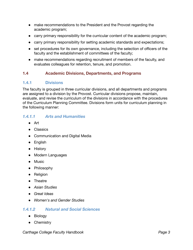- make recommendations to the President and the Provost regarding the academic program;
- carry primary responsibility for the curricular content of the academic program;
- carry primary responsibility for setting academic standards and expectations;
- set procedures for its own governance, including the selection of officers of the faculty and the establishment of committees of the faculty;
- make recommendations regarding recruitment of members of the faculty, and evaluates colleagues for retention, tenure, and promotion.

#### **1.4 Academic Divisions, Departments, and Programs**

#### **1.4.1 Divisions**

The faculty is grouped in three curricular divisions, and all departments and programs are assigned to a division by the Provost. Curricular divisions propose, maintain, evaluate, and revise the curriculum of the divisions in accordance with the procedures of the Curriculum Planning Committee. Divisions form units for curriculum planning in the following manner:

## *1.4.1.1 Arts and Humanities*

- Art
- Classics
- Communication and Digital Media
- English
- History
- Modern Languages
- Music
- Philosophy
- Religion
- Theatre
- *Asian Studies*
- *Great Ideas*
- *Women's and Gender Studies*

#### *1.4.1.2 Natural and Social Sciences*

- Biology
- Chemistry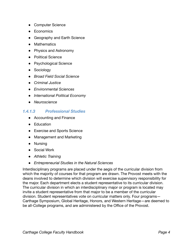- Computer Science
- Economics
- Geography and Earth Science
- Mathematics
- Physics and Astronomy
- Political Science
- Psychological Science
- Sociology
- *Broad Field Social Science*
- *Criminal Justice*
- *Environmental Sciences*
- *International Political Economy*
- *Neuroscience*

#### *1.4.1.3 Professional Studies*

- Accounting and Finance
- Education
- Exercise and Sports Science
- Management and Marketing
- Nursing
- Social Work
- *● Athletic Training*
- *● Entrepreneurial Studies in the Natural Sciences*

Interdisciplinary programs are placed under the aegis of the curricular division from which the majority of courses for that program are drawn. The Provost meets with the deans involved to determine which division will exercise supervisory responsibility for the major. Each department elects a student representative to its curricular division. The curricular division in which an interdisciplinary major or program is located may invite a student representative from that major to be a member of the curricular division. Student representatives vote on curricular matters only. Four programs— Carthage Symposium, Global Heritage, Honors, and Western Heritage—are deemed to be all-College programs, and are administered by the Office of the Provost.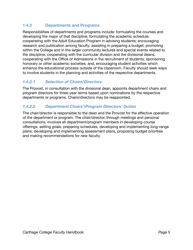## **1.4.2 Departments and Programs**

Responsibilities of departments and programs include: formulating the courses and developing the major of that discipline; formulating the academic schedule; cooperating with the Adult Education Program in advising students; encouraging research and publication among faculty; assisting in preparing a budget; promoting within the College and in the larger community lectures and special events related to the discipline; cooperating with the curricular division and the divisional deans; cooperating with the Office of Admissions in the recruitment of students; sponsoring honorary or other academic societies; and, encouraging student activities which enhance the educational process outside of the classroom. Faculty should seek ways to involve students in the planning and activities of the respective departments.

## *1.4.2.1 Selection of Chairs/Directors*

The Provost, in consultation with the divisional dean, appoints department chairs and program directors for three-year terms based upon nominations by the respective departments or programs. Chairs/directors may be reappointed.

## *1.4.2.2 Department Chairs'/Program Directors' Duties*

The chair/director is responsible to the dean and the Provost for the effective operation of the department or program. The chair/director, through meetings and personal consultations, involves all department/program members in developing course offerings, setting goals, preparing schedules, developing and implementing long-range plans, developing and implementing assessment plans, proposing budget priorities and making recommendations for new faculty.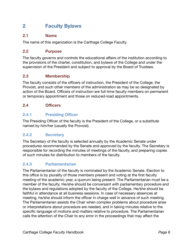# **2 Faculty Bylaws**

#### **2.1 Name**

The name of this organization is the Carthage College Faculty.

#### **2.2 Purpose**

The faculty governs and controls the educational affairs of the institution according to the provisions of the charter, constitution, and bylaws of the College and under the supervision of the President and subject to approval by the Board of Trustees.

## **2.3 Membership**

The faculty consists of the officers of instruction, the President of the College, the Provost, and such other members of the administration as may be so designated by action of the Board. Officers of instruction are full-time faculty members on permanent or temporary appointment and those on reduced-load appointments.

#### **2.4 Officers**

## **2.4.1 Presiding Officer**

The Presiding Officer of the faculty is the President of the College, or a substitute named by him/her (usually the Provost).

## **2.4.2 Secretary**

The Secretary of the faculty is selected annually by the Academic Senate under procedures recommended by the Senate and approved by the faculty. The Secretary is responsible for recording the minutes of meetings of the faculty, and preparing copies of such minutes for distribution to members of the faculty.

## **2.4.3 Parliamentarian**

The Parliamentarian of the faculty is nominated by the Academic Senate. Election to this office is by plurality of those members present and voting at the first faculty meeting of the academic year, a quorum being present. The Parliamentarian must be a member of the faculty. He/she should be conversant with parliamentary procedure and the bylaws and regulations adopted by the faculty of the College. He/she should be faithful in attendance at all business sessions. In case of necessary absences at meeting, he/she should inform the officer in charge well in advance of such meeting. The Parliamentarian assists the Chair when complex problems about procedure arise or interpretations about procedure are needed, and in taking minutes relative to the specific language of motions and matters relative to procedure. The Parliamentarian calls the attention of the Chair to any error in the proceedings that may affect the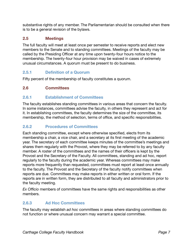substantive rights of any member. The Parliamentarian should be consulted when there is to be a general revision of the bylaws.

## **2.5 Meetings**

The full faculty will meet at least once per semester to receive reports and elect new members to the Senate and to standing committees. Meetings of the faculty may be called by the Presiding Officer at any time upon twenty-four hours notice to the membership. The twenty-four hour provision may be waived in cases of extremely unusual circumstances. A quorum must be present to do business.

## **2.5.1 •• Definition of a Quorum**

Fifty percent of the membership of faculty constitutes a quorum.

## **2.6 Committees**

#### **2.6.1 Establishment of Committees**

The faculty establishes standing committees in various areas that concern the faculty. In some instances, committees advise the faculty, in others they represent and act for it. In establishing committees, the faculty determines the size of the committee, its membership, the method of selection, terms of office, and specific responsibilities.

#### **2.6.2 Procedures of Committees**

Each standing committee, except where otherwise specified, elects from its membership a chair, a vice chair, and a secretary at its first meeting of the academic year. The secretary of each committee keeps minutes of the committee's meetings and shares them regularly with the Provost, where they may be referred to by any faculty member. A roster of the committees and the names of their officers is kept by the Provost and the Secretary of the Faculty. All committees, standing and ad hoc, report regularly to the faculty during the academic year. Whereas committees may make reports more frequently than requested, committees must report at least once annually to the faculty. The Provost and the Secretary of the faculty notify committees when reports are due. Committees may make reports in either written or oral form. If the reports are in written form, they are distributed to all faculty and administrators prior to the faculty meeting.

*Ex Officio* members of committees have the same rights and responsibilities as other members.

## **2.6.3 Ad Hoc Committees**

The faculty may establish *ad hoc* committees in areas where standing committees do not function or where unusual concern may warrant a special committee.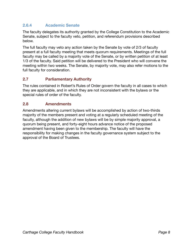## **2.6.4 Academic Senate**

The faculty delegates its authority granted by the College Constitution to the Academic Senate, subject to the faculty veto, petition, and referendum provisions described below.

The full faculty may veto any action taken by the Senate by vote of 2/3 of faculty present at a full faculty meeting that meets quorum requirements. Meetings of the full faculty may be called by a majority vote of the Senate, or by written petition of at least 1/3 of the faculty. Said petition will be delivered to the President who will convene the meeting within two weeks. The Senate, by majority vote, may also refer motions to the full faculty for consideration.

## **2.7 Parliamentary Authority**

The rules contained in Robert's Rules of Order govern the faculty in all cases to which they are applicable, and in which they are not inconsistent with the bylaws or the special rules of order of the faculty.

#### **2.8 Amendments**

Amendments altering current bylaws will be accomplished by action of two-thirds majority of the members present and voting at a regularly scheduled meeting of the faculty, although the addition of new bylaws will be by simple majority approval, a quorum being present, and forty-eight hours advance notice of the proposed amendment having been given to the membership. The faculty will have the responsibility for making changes in the faculty governance system subject to the approval of the Board of Trustees.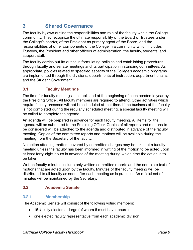# **3 Shared Governance**

The faculty bylaws outline the responsibilities and role of the faculty within the College community. They recognize the ultimate responsibility of the Board of Trustees under the College's charter, of the President as primary agent of the Board, and the responsibilities of other components of the College in a community which includes Trustees, the President and other officers of administration, the faculty, students, and support staff.

The faculty carries out its duties in formulating policies and establishing procedures through faculty and senate meetings and its participation in standing committees. As appropriate, policies related to specified aspects of the College's academic programs are implemented through the divisions, departments of instruction, department chairs, and the Student Government.

## **3.1 Faculty Meetings**

The time for faculty meetings is established at the beginning of each academic year by the Presiding Officer. All faculty members are required to attend. Other activities which require faculty presence will not be scheduled at that time. If the business of the faculty is not completed during the regularly scheduled meeting, a special faculty meeting will be called to complete the agenda.

An agenda will be prepared in advance for each faculty meeting. All items for the agenda will be submitted to the Presiding Officer. Copies of all reports and motions to be considered will be attached to the agenda and distributed in advance of the faculty meeting. Copies of the committee reports and motions will be available during the meeting from the Secretary of the faculty.

No action affecting matters covered by committee charges may be taken at a faculty meeting unless the faculty has been informed in writing of the motion to be acted upon at least forty-eight hours in advance of the meeting during which time the action is to be taken.

Written faculty minutes include only written committee reports and the complete text of motions that are acted upon by the faculty. Minutes of the faculty meeting will be distributed to all faculty as soon after each meeting as is practical. An official set of minutes will be maintained by the Secretary.

#### **3.2 Academic Senate**

#### **3.2.1 Membership**

The Academic Senate will consist of the following voting members:

- 15 faculty elected at-large (of whom 6 must have tenure);
- one elected faculty representative from each academic division;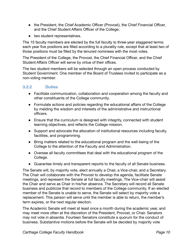- the President, the Chief Academic Officer (Provost), the Chief Financial Officer, and the Chief Student Affairs Officer of the College;
- two student representatives.

The 15 faculty members are elected by the full faculty to three-year staggered terms; each year five positions are filled according to a plurality rule, except that at least two of those positions must be filled by the tenured nominees with the most votes.

The President of the College, the Provost, the Chief Financial Officer, and the Chief Student Affairs Officer will serve by virtue of their offices.

The two student members will be selected through an open process conducted by Student Government. One member of the Board of Trustees invited to participate as a non-voting member.

## **3.2.2 Duties**

- Facilitate communication, collaboration and cooperation among the faculty and other constituents of the College community.
- Formulate actions and policies regarding the educational affairs of the College by melding the wisdom and interests of the administrative and instructional officers.
- Ensure that the curriculum is designed with integrity, connected with student learning objectives, and reflects the College mission.
- Support and advocate the allocation of institutional resources including faculty, facilities, and programming.
- Bring matters related to the educational program and the well-being of the College to the attention of the Faculty and Administration.
- Oversee all faculty committees that deal with the educational program of the College.
- Guarantee timely and transparent reports to the faculty of all Senate business.

The Senate will, by majority vote, elect annually a Chair, a Vice-chair, and a Secretary. The Chair will collaborate with the Provost to develop the agenda, facilitate Senate meetings, and represent the Senate at full faculty meetings. The Vice-chair will assist the Chair and serve as Chair in his/her absence. The Secretary will record all Senate business and publicize that record to members of the College community. If an elected member of the Senate is unable to serve, the Senate will select by majority vote a replacement. This person will serve until the member is able to return, the member's term expires, or the next regular election.

The Academic Senate will meet at least once a month during the academic year, and may meet more often at the discretion of the President, Provost, or Chair. Senators may not vote *in absentia*. Fourteen Senators constitute a quorum for the conduct of business. Substantive motions before the Senate will be decided by majority vote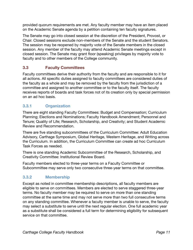provided quorum requirements are met. Any faculty member may have an item placed on the Academic Senate agenda by a petition containing ten faculty signatures.

The Senate may go into closed session at the discretion of the President, Provost, or Chair. Closed sessions exclude non-members of the Senate and the student Senators. The session may be reopened by majority vote of the Senate members in the closed session. Any member of the faculty may attend Academic Senate meetings except in closed session. The Senate may grant floor (speaking) privileges by majority vote to faculty and to other members of the College community.

## **3.3 Faculty Committees**

Faculty committees derive their authority from the faculty and are responsible to it for all actions. All specific duties assigned to faculty committees are considered duties of the faculty as a whole and may be removed by the faculty from the jurisdiction of a committee and assigned to another committee or to the faculty itself. The faculty receives reports of boards and task forces not of its creation only by special permission on an ad hoc basis.

## **3.3.1 Organization**

There are eight standing Faculty Committees: Budget and Compensation; Curriculum Planning; Elections and Nominations; Faculty Handbook Amendment; Personnel and Tenure; Quality of Life; Research, Scholarship, and Creativity; and Student Academic Review and Recommendation.

There are five standing subcommittees of the Curriculum Committee: Adult Education Advisory, Carthage Symposium, Global Heritage, Western Heritage, and Writing across the Curriculum. In addition, the Curriculum Committee can create ad hoc Curriculum Task Forces as needed.

There is one standing Academic Subcommittee of the Research, Scholarship, and Creativity Committee: Institutional Review Board.

Faculty members elected to three-year terms on a Faculty Committee or Subcommittee may serve only two consecutive three-year terms on that committee.

## **3.3.2 Membership**

Except as noted in committee membership descriptions, all faculty members are eligible to serve on committees. Members are elected to serve staggered three-year terms. No faculty member may be required to serve on more than one standing committee at the same time and may not serve more than two full consecutive terms on any standing committee. Whenever a faculty member is unable to serve, the faculty may select a substitute to serve until the next regular election. One full academic year as a substitute shall be considered a full term for determining eligibility for subsequent service on that committee.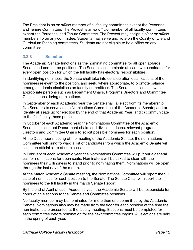The President is an *ex officio* member of all faculty committees except the Personnel and Tenure Committee. The Provost is an *ex officio* member of all faculty committees except the Personnel and Tenure Committee. The Provost may assign his/her *ex officio*  membership on any committee. Students may serve and vote on the Quality of Life and Curriculum Planning committees. Students are not eligible to hold office on any committee.

## **3.3.3 Selection**

The Academic Senate functions as the nominating committee for all open at-large Senate and committee positions. The Senate shall nominate at least two candidates for every open position for which the full faculty has electoral responsibilities.

In identifying nominees, the Senate shall take into consideration qualifications of the nominees relevant to the position, and seek, where appropriate, to promote balance among academic disciplines on faculty committees. The Senate shall consult with appropriate persons such as Department Chairs, Programs Directors and Committee Chairs in considering nominations.

In September of each Academic Year the Senate shall: a) elect from its membership five Senators to serve as the Nominations Committee of the Academic Senate; and b) identify all seats up for election by the end of that Academic Year; and c) communicate to the full faculty those positions.

In October of each Academic Year, the Nominations Committee of the Academic Senate shall contact Department chairs and divisional deans, relevant program Directors and Committee Chairs to solicit possible nominees for each position.

At the December meeting of the meeting of the Academic Senate, the nominations Committee will bring forward a list of candidates from which the Academic Senate will select an official slate of nominees.

In February of each Academic year, the Nominations Committee will put out a general call for nominations for open seats. Nominators will be asked to clear with the nominees their willingness to stand prior to nominating them. Nominations will be open through the last day of the month.

At the March Academic Senate meeting, the Nominations Committee will report the full slate of nominees for each position to the Senate. The Senate Chair will report the nominees to the full faculty in the march Senate Report.

By the end of April of each Academic year, the Academic Senate will be responsible for conducting elections to the Senate and Committee positions.

No faculty member may be nominated for more than one committee by the Academic Senate. Nominations also may be made from the floor for each position at the time the nominations are presented at the faculty meeting. Elections must be completed for each committee before nomination for the next committee begins. All elections are held in the spring of each year.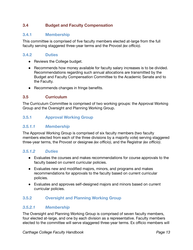## **3.4 Budget and Faculty Compensation**

#### **3.4.1 Membership**

This committee is comprised of five faculty members elected at-large from the full faculty serving staggered three-year terms and the Provost *(ex officio)*.

#### **3.4.2 Duties**

- Reviews the College budget.
- Recommends how money available for faculty salary increases is to be divided. Recommendations regarding such annual allocations are transmitted by the Budget and Faculty Compensation Committee to the Academic Senate and to the Faculty.
- Recommends changes in fringe benefits.

#### **3.5 Curriculum**

The Curriculum Committee is comprised of two working groups: the Approval Working Group and the Oversight and Planning Working Group.

## **3.5.1 Approval Working Group**

#### *3.5.1.1 Membership*

The Approval Working Group is comprised of six faculty members (two faculty members elected from each of the three divisions by a majority vote) serving staggered three-year terms, the Provost or designee *(ex officio)*, and the Registrar *(ex officio)*.

#### *3.5.1.2 Duties*

- Evaluates the courses and makes recommendations for course approvals to the faculty based on current curricular policies.
- Evaluates new and modified majors, minors, and programs and makes recommendations for approvals to the faculty based on current curricular policies.
- Evaluates and approves self-designed majors and minors based on current curricular policies.

#### **3.5.2 Oversight and Planning Working Group**

#### *3.5.2.1 Membership*

The Oversight and Planning Working Group is comprised of seven faculty members, four elected at-large, and one by each division as a representative. Faculty members elected to the committee will serve staggered three-year terms. Ex officio members will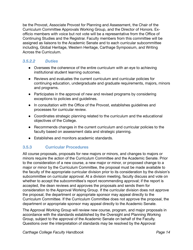be the Provost, Associate Provost for Planning and Assessment, the Chair of the Curriculum Committee Approvals Working Group, and the Director of Honors. Exofficio members with voice but not vote will be a representative from the Office of Continuing Studies and the Registrar. Faculty members from this committee will be assigned as liaisons to the Academic Senate and to each curricular subcommittee including, Global Heritage, Western Heritage, Carthage Symposium, and Writing Across the Curriculum.

## *3.5.2.2 Duties*

- Oversees the coherence of the entire curriculum with an eye to achieving institutional student learning outcomes.
- Reviews and evaluates the current curriculum and curricular policies for continuing education, undergraduate and graduate requirements, majors, minors and programs.
- Participates in the approval of new and revised programs by considering exceptions to policies and guidelines.
- In consultation with the Office of the Provost, establishes guidelines and processes for curricular review.
- Coordinates strategic planning related to the curriculum and the educational objectives of the College.
- Recommends changes in the current curriculum and curricular policies to the faculty based on assessment data and strategic planning.
- Establishes and monitors academic standards.

## **3.5.3 Curricular Procedures**

All course proposals, proposals for new majors or minors, and changes to majors or minors require the action of the Curriculum Committee and the Academic Senate. Prior to the consideration of a new course, a new major or minor, or proposed change to a major or minor by the Curriculum Committee, the proposal must be made available to the faculty of the appropriate curricular division prior to its consideration by the division's subcommittee on curricular approval. At a division meeting, faculty discuss and vote on whether to accept the subcommittee's report recommending approval; if the report is accepted, the dean reviews and approves the proposals and sends them for consideration to the Approval Working Group. If the curricular division does not approve the proposal, the department or appropriate sponsor may appeal directly to the Curriculum Committee. If the Curriculum Committee does not approve the proposal, the department or appropriate sponsor may appeal directly to the Academic Senate.

The Approval Working Group will review new course, program, and major proposals in accordance with the standards established by the Oversight and Planning Working Group, subject to the approval of the Academic Senate on behalf of the Faculty. Questions over the interpretation of standards may be resolved by the Approval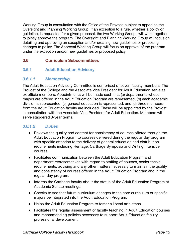Working Group in consultation with the Office of the Provost, subject to appeal to the Oversight and Planning Working Group. If an exception to a rule, whether a policy or guideline, is requested for a given proposal, the two Working Groups will work together to jointly approve the program. The Oversight and Planning Working Group will focus on detailing and approving an exception and/or creating new guidelines or proposing changes to policy. The Approval Working Group will focus on approval of the program under the exception and/or new guidelines or proposed policy.

## **3.6 Curriculum Subcommittees**

## **3.6.1 Adult Education Advisory**

#### *3.6.1.1 Membership*

The Adult Education Advisory Committee is comprised of seven faculty members. The Provost of the College and the Associate Vice President for Adult Education serve as ex officio members. Appointments will be made such that (a) departments whose majors are offered in the Adult Education Program are represented, (b) each academic division is represented, (c) general education is represented, and (d) three members from the Adult Education faculty are included. These will be appointed by the Provost in consultation with the Associate Vice President for Adult Education. Members will serve staggered 3-year terms.

## *3.6.1.2 Duties*

- Reviews the quality and content for consistency of courses offered through the Adult Education Program to courses delivered during the regular day program with specific attention to the delivery of general education and distribution requirements including Heritage, Carthage Symposia and Writing Intensive courses.
- Facilitates communication between the Adult Education Program and department representatives with regard to staffing of courses, senior thesis requirements, advising and any other matters necessary to maintain the quality and consistency of courses offered in the Adult Education Program and in the regular day program.
- Informs the Carthage faculty about the status of the Adult Education Program at Academic Senate meetings.
- Checks to see that future curriculum changes to the core curriculum or specific majors be integrated into the Adult Education Program.
- Helps the Adult Education Program to foster a liberal arts ethos.
- Facilitates the regular assessment of faculty teaching in Adult Education courses and recommending policies necessary to support Adult Education faculty professional development.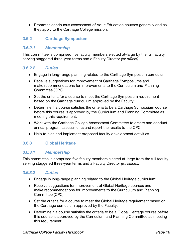• Promotes continuous assessment of Adult Education courses generally and as they apply to the Carthage College mission.

## **3.6.2 Carthage Symposium**

#### *3.6.2.1 Membership*

This committee is comprised five faculty members elected at-large by the full faculty serving staggered three-year terms and a Faculty Director *(ex officio).*

#### *3.6.2.2 Duties*

- Engage in long-range planning related to the Carthage Symposium curriculum;
- Receive suggestions for improvement of Carthage Symposiums and make recommendations for improvements to the Curriculum and Planning Committee (CPC);
- Set the criteria for a course to meet the Carthage Symposium requirement based on the Carthage curriculum approved by the Faculty;
- Determine if a course satisfies the criteria to be a Carthage Symposium course before this course is approved by the Curriculum and Planning Committee as meeting this requirement;
- Work with the Carthage College Assessment Committee to create and conduct annual program assessments and report the results to the CPC;
- Help to plan and implement proposed faculty development activities.

## **3.6.3 Global Heritage**

#### *3.6.3.1 Membership*

This committee is comprised five faculty members elected at-large from the full faculty serving staggered three-year terms and a Faculty Director *(ex officio).*

#### *3.6.3.2 Duties*

- Engage in long-range planning related to the Global Heritage curriculum;
- Receive suggestions for improvement of Global Heritage courses and make recommendations for improvements to the Curriculum and Planning Committee (CPC);
- Set the criteria for a course to meet the Global Heritage requirement based on the Carthage curriculum approved by the Faculty;
- Determine if a course satisfies the criteria to be a Global Heritage course before this course is approved by the Curriculum and Planning Committee as meeting this requirement;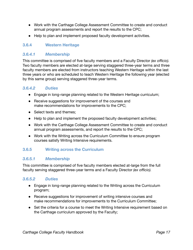- Work with the Carthage College Assessment Committee to create and conduct annual program assessments and report the results to the CPC;
- Help to plan and implement proposed faculty development activities.

## **3.6.4 Western Heritage**

## *3.6.4.1 Membership*

This committee is comprised of five faculty members and a Faculty Director (ex officio). Two faculty members are elected at-large serving staggered three-year terms and three faculty members are elected from instructors teaching Western Heritage within the last three years or who are scheduled to teach Western Heritage the following year (elected by this same group) serving staggered three-year terms.

#### *3.6.4.2 Duties*

- Engage in long-range planning related to the Western Heritage curriculum;
- Receive suggestions for improvement of the courses and make recommendations for improvements to the CPC;
- Select texts and themes;
- Help to plan and implement the proposed faculty development activities;
- Work with the Carthage College Assessment Committee to create and conduct annual program assessments, and report the results to the CPC;
- Work with the Writing across the Curriculum Committee to ensure program courses satisfy Writing Intensive requirements.

## **3.6.5 Writing across the Curriculum**

#### *3.6.5.1 Membership*

This committee is comprised of five faculty members elected at-large from the full faculty serving staggered three-year terms and a Faculty Director *(ex officio).*

## *3.6.5.2 Duties*

- Engage in long-range planning related to the Writing across the Curriculum program;
- Receive suggestions for improvement of writing intensive courses and make recommendations for improvements to the Curriculum Committee;
- Set the criteria for a course to meet the Writing Intensive requirement based on the Carthage curriculum approved by the Faculty;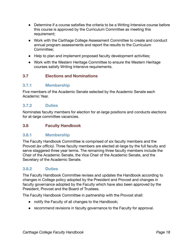- Determine if a course satisfies the criteria to be a Writing Intensive course before this course is approved by the Curriculum Committee as meeting this requirement;
- Work with the Carthage College Assessment Committee to create and conduct annual program assessments and report the results to the Curriculum Committee;
- Help to plan and implement proposed faculty development activities;
- Work with the Western Heritage Committee to ensure the Western Heritage courses satisfy Writing Intensive requirements.

## **3.7 Elections and Nominations**

#### **3.7.1 Membership**

Five members of the Academic Senate selected by the Academic Senate each Academic Year.

#### **3.7.2 Duties**

Nominates faculty members for election for at-large positions and conducts elections for at-large committee vacancies.

#### **3.8 Faculty Handbook**

#### **3.8.1 Membership**

The Faculty Handbook Committee is comprised of six faculty members and the Provost *(ex officio)*. Three faculty members are elected at-large by the full faculty and serve staggered three year terms. The remaining three faculty members include the Chair of the Academic Senate, the Vice Chair of the Academic Senate, and the Secretary of the Academic Senate.

#### **3.8.2 Duties**

The Faculty Handbook Committee revises and updates the Handbook according to changes in College policy adopted by the President and Provost and changes in faculty governance adopted by the Faculty which have also been approved by the President, Provost and the Board of Trustees.

The Faculty Handbook Committee in partnership with the Provost shall:

- notify the Faculty of all changes to the Handbook;
- recommend revisions in faculty governance to the Faculty for approval.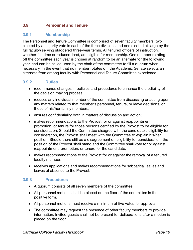#### **3.9 Personnel and Tenure**

#### **3.9.1 Membership**

The Personnel and Tenure Committee is comprised of seven faculty members (two elected by a majority vote in each of the three divisions and one elected at-large by the full faculty) serving staggered three-year terms. All tenured officers of instruction, whether full-time or reduced-load, are eligible for membership. One member rotating off the committee each year is chosen at random to be an alternate for the following year, and can be called upon by the chair of the committee to fill a quorum when necessary. In the event that no member rotates off, the Academic Senate selects an alternate from among faculty with Personnel and Tenure Committee experience.

#### **3.9.2 Duties**

- recommends changes in policies and procedures to enhance the credibility of the decision making process;
- recuses any individual member of the committee from discussing or acting upon any matters related to that member's personnel, tenure, or leave decisions, or those of his/her family members;
- ensures confidentiality both in matters of discussion and action;
- makes recommendations to the Provost for or against reappointment, promotion, or tenure for those persons certified by the Provost to be eligible for consideration. Should the Committee disagree with the candidate's eligibility for consideration, the Provost shall meet with the Committee to explain his/her position. Should there still be a disagreement on eligibility for consideration, the position of the Provost shall stand and the Committee shall vote for or against reappointment, promotion, or tenure for the candidate;
- makes recommendations to the Provost for or against the removal of a tenured faculty member;
- receives applications and makes recommendations for sabbatical leaves and leaves of absence to the Provost.

#### **3.9.3 Procedures**

- A quorum consists of all seven members of the committee.
- All personnel motions shall be placed on the floor of the committee in the positive form.
- All personnel motions must receive a minimum of five votes for approval.
- The committee may request the presence of other faculty members to provide information. Invited guests shall not be present for deliberations after a motion is placed on the floor.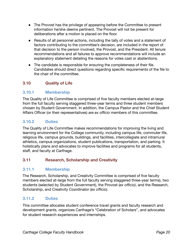- The Provost has the privilege of appearing before the Committee to present information he/she deems pertinent. The Provost will not be present for deliberations after a motion is placed on the floor.
- Results of all personnel actions, including the tally of votes and a statement of factors contributing to the committee's decision, are included in the report of that decision to the person involved, the Provost, and the President. All tenure recommendations and all failures to approve recommendations will include an explanatory statement detailing the reasons for votes cast or abstentions.
- The candidate is responsible for ensuring the completeness of their file. Candidates should direct questions regarding specific requirements of the file to the chair of the committee.

## **3.10** Quality of Life

## **3.10.1 Membership**

The Quality of Life Committee is comprised of five faculty members elected at-large from the full faculty serving staggered three-year terms and three student members chosen by Student Government. In addition, the Campus Pastor and the Chief Student Affairs Officer (or their representatives) are *ex officio* members of this committee.

## **3.10.2 Duties**

The Quality of Life Committee makes recommendations for improving the living and learning environment for the College community, including campus life, commuter life, religious life, campus grounds, buildings, and facilities, intercollegiate and intramural athletics, campus organizations, student publications, transportation, and parking. It holistically plans and advocates to improve facilities and programs for all students, staff, and faculty at Carthage.

#### **3.11 Research, Scholarship and Creativity**

#### **3.11.1 Membership**

The Research, Scholarship, and Creativity Committee is comprised of five faculty members elected at-large from the full faculty serving staggered three-year terms), two students (selected by Student Government), the Provost (*ex officio)*, and the Research, Scholarship, and Creativity Coordinator (*ex officio)*.

#### **3.11.2 Duties**

This committee allocates student conference travel grants and faculty research and development grants, organizes Carthage's "Celebration of Scholars", and advocates for student research experiences and internships.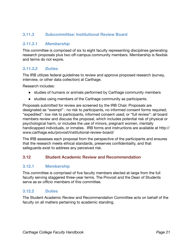## **3.11.3 Subcommittee: Institutional Review Board**

#### *3.11.3.1 Membership*

This committee is comprised of six to eight faculty representing disciplines generating research proposals plus two off-campus community members. Membership is flexible and terms do not expire.

#### *3.11.3.2 Duties*

The IRB utilizes federal guidelines to review and approve proposed research (survey, interview, or other data collection) at Carthage.

Research includes:

- studies of humans or animals performed by Carthage community members
- studies using members of the Carthage community as participants.

Proposals submitted for review are screened by the IRB Chair. Proposals are designated as "exempt" : no risk to participants, no informed consent forms required; "expedited": low risk to participants, informed consent used; or "full review": all board members review and discuss the proposal, which includes potential risk of physical or psychological harm, or includes the use of minors, pregnant women, mentally handicapped individuals, or inmates. IRB forms and instructions are available at http:// www.carthage.edu/provost/institutional-review-board/

The IRB assesses each proposal from the perspective of the participants and ensures that the research meets ethical standards, preserves confidentiality, and that safeguards exist to address any perceived risk.

#### **3.12 Student Academic Review and Recommendation**

#### **3.12.1 Membership**

This committee is comprised of five faculty members elected at-large from the full faculty serving staggered three-year terms. The Provost and the Dean of Students serve as *ex officio* members of this committee.

#### **3.12.2 Duties**

The Student Academic Review and Recommendation Committee acts on behalf of the faculty on all matters pertaining to academic standing.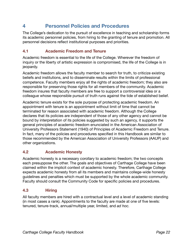## **4 Personnel Policies and Procedures**

The College's dedication to the pursuit of excellence in teaching and scholarship forms its academic personnel policies, from hiring to the granting of tenure and promotion. All personnel decisions reflect institutional purposes and priorities.

## **4.1 Academic Freedom and Tenure**

Academic freedom is essential to the life of the College. Wherever the freedom of inquiry or the liberty of artistic expression is compromised, the life of the College is in jeopardy.

Academic freedom allows the faculty member to search for truth, to criticize existing beliefs and institutions, and to disseminate results within the limits of professional competence. Faculty members enjoy all the rights of academic freedom; they also are responsible for preserving those rights for all members of the community. Academic freedom insures that faculty members are free to support a controversial idea or a colleague whose responsible pursuit of truth runs against the tide of established belief.

Academic tenure exists for the sole purpose of protecting academic freedom. An appointment with tenure is an appointment without limit of time that cannot be terminated for reason associated with academic freedom. Although the College declares that its policies are independent of those of any other agency and cannot be bound by interpretation of its policies suggested by such an agency, it supports the general principles of academic freedom enunciated in the American Association of University Professors Statement (1940) of Principles of Academic Freedom and Tenure. In fact, many of the policies and procedures specified in this Handbook are similar to those recommended by the American Association of University Professors (AAUP) and other organizations.

## **4.2 Academic Honesty**

Academic honesty is a necessary corollary to academic freedom; the two concepts each presuppose the other. The goals and objectives of Carthage College have been claimed within the implicit context of academic honesty. Therefore, Carthage College expects academic honesty from all its members and maintains college-wide honesty guidelines and penalties which must be supported by the whole academic community. Faculty should consult the Community Code for specific policies and procedures.

## **4.3 Hiring**

All faculty members are hired with a contractual level and a level of academic standing (in most cases a rank). Appointments to the faculty are made at one of five levels: tenured, tenure-track, annual/multiple year, limited, and *ad hoc.*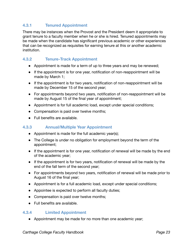## **4.3.1 Tenured Appointment**

There may be instances when the Provost and the President deem it appropriate to grant tenure to a faculty member when he or she is hired. Tenured appointments may be made when the candidate has significant previous academic or other experiences that can be recognized as requisites for earning tenure at this or another academic institution.

#### **4.3.2 Tenure-Track Appointment**

- Appointment is made for a term of up to three years and may be renewed;
- $\bullet$  If the appointment is for one year, notification of non-reappointment will be made by March 1;
- If the appointment is for two years, notification of non-reappointment will be made by December 15 of the second year;
- For appointments beyond two years, notification of non-reappointment will be made by August 15 of the final year of appointment;
- Appointment is for full academic load, except under special conditions;
- Compensation is paid over twelve months;
- Full benefits are available.

#### **4.3.3 Annual/Multiple Year Appointment**

- Appointment is made for the full academic year(s);
- The College is under no obligation for employment beyond the term of the appointment;
- If the appointment is for one year, notification of renewal will be made by the end of the academic year;
- If the appointment is for two years, notification of renewal will be made by the end of the fall term of the second year;
- For appointments beyond two years, notification of renewal will be made prior to August 16 of the final year:
- Appointment is for a full academic load, except under special conditions;
- Appointee is expected to perform all faculty duties;
- Compensation is paid over twelve months;
- Full benefits are available.

#### **4.3.4 Limited Appointment**

• Appointment may be made for no more than one academic year;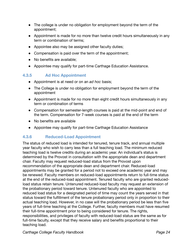- The college is under no obligation for employment beyond the term of the appointment;
- Appointment is made for no more than twelve credit hours simultaneously in any term or combination of terms;
- Appointee also may be assigned other faculty duties;
- Compensation is paid over the term of the appointment;
- No benefits are available:
- Appointee may qualify for part-time Carthage Education Assistance.

## **4.3.5 Ad Hoc Appointment**

- Appointment is at need or on an *ad hoc* basis;
- The College is under no obligation for employment beyond the term of the appointment
- Appointment is made for no more than eight credit hours simultaneously in any term or combination of terms
- Compensation for semester-length courses is paid at the mid-point and end of the term. Compensation for 7-week courses is paid at the end of the term
- No benefits are available
- Appointee may qualify for part-time Carthage Education Assistance

## **4.3.6 Reduced-Load Appointment**

The status of reduced load is intended for tenured, tenure track, and annual multiple year faculty who wish to carry less than a full teaching load. The minimum reduced teaching load is twelve credits during an academic year. An individual's status is determined by the Provost in consultation with the appropriate dean and department chair. Faculty may request reduced-load status from the Provost upon recommendation of the appropriate dean and department chair. Reduced-load appointments may be granted for a period not to exceed one academic year and may be renewed. Faculty members on reduced-load appointments return to full-time status at the end of the reduced-load appointment. Tenured faculty who are granted reduced load status retain tenure. Untenured reduced-load faculty may request an extension of the probationary period toward tenure. Untenured faculty who are appointed to reduced load status for a designated period of time may count the years served in that status toward the fulfillment of the tenure probationary period only in proportion to their actual teaching load. However, in no case will the probationary period be less than five years of full-time teaching at the College. Further, faculty members must have resumed their full-time appointment prior to being considered for tenure. The rights, responsibilities, and privileges of faculty with reduced-load status are the same as for full-time faculty, except that they receive salary and benefits proportional to their teaching load.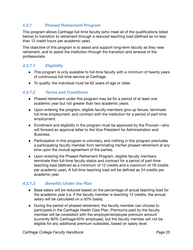## **4.3.7 Phased Retirement Program**

This program allows Carthage full-time faculty (who meet all of the qualifications listed below) to transition to retirement through a reduced teaching load (defined as no less than 12 credit hours per academic year).

The objective of this program is to assist and support long-term faculty as they near retirement, and to assist the institution through the transition and renewal of the professoriate.

#### *4.3.7.1 Eligibility*

- This program is only available to full-time faculty with a minimum of twenty years of continuous full-time service at Carthage.
- To qualify, the individual must be 62 years of age or older.

#### *4.3.7.2 Terms and Conditions*

- Phased retirement under this program may be for a period of at least one academic year but not greater than two academic years.
- Upon entering the program, eligible faculty members give up tenure, terminate full-time employment, and contract with the institution for a period of part-time employment.
- Enrollment and eligibility in the program must be approved by the Provost-who will forward an approval letter to the Vice President for Administration and Business.
- Participation in this program is voluntary, and nothing in this program precludes a participating faculty member from terminating his/her phased retirement at any time upon the mutual agreement of the parties.
- Upon entering the Phased Retirement Program, eligible faculty members terminate their full-time faculty status and contract for a period of part-time teaching load (defined as a minimum of 12 credits and a maximum of 16 credits per academic year). A full-time teaching load will be defined as 24 credits per academic year.

#### **4.3.7.3 Benefits Under the Plan**

- Base salary will be reduced based on the percentage of actual teaching load for the academic year (i.e. if the faculty member is teaching 12 credits, the annual salary will be calculated on a 50% basis).
- During the period of phased retirement, the faculty member can choose to participate in the Carthage Health Care Plan. Premiums paid by the faculty member will be consistent with the employer/employee premium amount (currently 60% Carthage/40% employee), but the faculty member will not be eligible for any additional premium subsidies, based on salary level.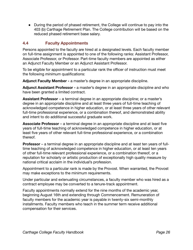● During the period of phased retirement, the College will continue to pay into the 403 (b) Carthage Retirement Plan. The College contribution will be based on the reduced phased retirement base salary.

## **4.4 Faculty Appointments**

Persons appointed to the faculty are hired at a designated levels. Each faculty member on full-time assignment is appointed to one of the following ranks: Assistant Professor, Associate Professor, or Professor. Part-time faculty members are appointed as either an Adjunct Faculty Member or an Adjunct Assistant Professor.

To be eligible for appointment to a particular rank the officer of instruction must meet the following *minimum* qualifications:

**Adjunct Faculty Member -** a master's degree in an appropriate discipline.

**Adjunct Assistant Professor -** a master's degree in an appropriate discipline and who have been granted a limited contract.

**Assistant Professor** – a terminal degree in an appropriate discipline; or a master's degree in an appropriate discipline and at least three years of full-time teaching of acknowledged competence in higher education, or at least three years of other relevant full-time professional experience, or a combination thereof, and demonstrated ability and intent to do additional successful graduate work.

**Associate Professor** – a terminal degree in an appropriate discipline and at least five years of full-time teaching of acknowledged competence in higher education, or at least five years of other relevant full-time professional experience, or a combination thereof.

**Professor** – a terminal degree in an appropriate discipline and at least ten years of fulltime teaching of acknowledged competence in higher education, or at least ten years of other full-time relevant professional experience, or a combination thereof, or a reputation for scholarly or artistic production of exceptionally high quality measure by national critical acclaim in the individual's profession.

Appointment to a particular rank is made by the Provost. When warranted, the Provost may make exceptions to the minimum requirements.

Under particular and extenuating circumstances, a faculty member who was hired as a contract employee may be converted to a tenure-track appointment.

Faculty appointments normally extend for the nine months of the academic year, beginning August 16th and extending through Commencement. Remuneration of faculty members for the academic year is payable in twenty-six semi-monthly installments. Faculty members who teach in the summer term receive additional compensation for their services.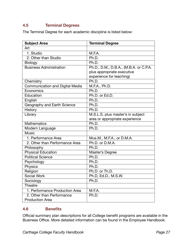## **4.5 Terminal Degrees**

The Terminal Degree for each academic discipline is listed below:

| <b>Subject Area</b>             | <b>Terminal Degree</b>                 |
|---------------------------------|----------------------------------------|
| Art                             |                                        |
| 1. Studio                       | M.F.A.                                 |
| 2. Other than Studio            | Ph.D.                                  |
| Biology                         | Ph.D.                                  |
| <b>Business Administration</b>  | Ph.D., D.M., D.B.A., (M.B.A. or C.P.A. |
|                                 | plus appropriate executive             |
|                                 | experience for teaching)               |
| Chemistry                       | Ph.D.                                  |
| Communication and Digital Media | M.F.A., Ph.D.                          |
| Economics                       | Ph.D.                                  |
| Education                       | Ph.D. or Ed.D.                         |
| English                         | Ph.D.                                  |
| Geography and Earth Science     | Ph.D.                                  |
| History                         | Ph.D.                                  |
| Library                         | M.S.L.S. plus master's in subject      |
|                                 | area or appropriate experience         |
| <b>Mathematics</b>              | Ph.D.                                  |
| Modern Language                 | Ph.D.                                  |
| <b>Music</b>                    |                                        |
| 1. Performance Area             | Mus.M., M.F.A., or D.M.A.              |
| 2. Other than Performance Area  | Ph.D. or D.M.A.                        |
| Philosophy                      | Ph.D.                                  |
| Physical Education              | Master's Degree                        |
| <b>Political Science</b>        | Ph.D.                                  |
| Psychology                      | Ph.D.                                  |
| Physics                         | Ph.D.                                  |
| Religion                        | Ph.D. or Th.D.                         |
| <b>Social Work</b>              | Ph.D, Ed.D., M.S.W.                    |
| Sociology                       | Ph.D.                                  |
| Theatre                         |                                        |
| 1. Performance Production Area  | M.F.A.                                 |
| 2. Other than Performance       | Ph.D.                                  |
| <b>Production Area</b>          |                                        |

## 4.6 **Benefits**

Official summary plan descriptions for all College benefit programs are available in the Business Office. More detailed information can be found in the Employee Handbook.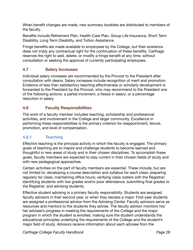When benefit changes are made, new summary booklets are distributed to members of the faculty.

Benefits include Retirement Plan, Health-Care Plan, Group Life Insurance, Short Term Disability, Long Term Disability, and Tuition Assistance.

Fringe benefits are made available to employees by the College, but their existence does not imply any contractual right for the continuation of these benefits. Carthage reserves the right to add, delete, or modify a fringe benefit at any time, without consultation or seeking the approval of currently participating employees.

## **4.7 Salary Increases**

Individual salary increases are recommended by the Provost to the President after consultation with deans. Salary increases include recognition of merit and promotion. Evidence of less than satisfactory teaching effectiveness or scholarly development is forwarded to the President by the Provost, who may recommend to the President one of the following actions: a partial increment, a freeze in salary; or a percentage reduction in salary.

## **4.8 Faculty Responsibilities**

The work of a faculty member includes teaching, scholarship and professional activities, and involvement in the College and larger community. Excellence in performing these responsibilities is the primary criterion for reappointment, tenure, promotion, and level of compensation.

## **4.8.1 Teaching**

Effective teaching is the principal activity in which the faculty is engaged. The primary goals of teaching are to inspire and challenge students to become learned and thoughtful in new areas of study and in their chosen disciplines. To accomplish these goals, faculty members are expected to stay current in their chosen fields of study and with new pedagogical approaches.

Certain activities on the part of faculty members are essential. These include, but are not limited to: developing a course description and syllabus for each class; preparing regularly for class; maintaining office hours; verifying class rosters with the Registrar; identifying students with low grades and/or poor attendance; submitting final grades to the Registrar; and advising students.

Effective student advising is a primary faculty responsibility. Students are assigned faculty advisors in their second year, or when they declare a major. First-year students are assigned a professional advisor from the Advising Center. Faculty advisors serve as resources and mentors to the students they advise. The faculty advisor monitors his/ her advisee's progress in meeting the requirements of the College and the major program in which the student is enrolled, making sure the student understands the educational principles underlying the requirements of the College and the student's major field of study. Advisors receive information about each advisee from the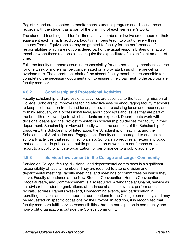Registrar, and are expected to monitor each student's progress and discuss these records with the student as a part of the planning of each semester's work.

The standard teaching load for full-time faculty members is twelve credit hours or their equivalent each term. In addition, faculty members teach two out of every three January Terms. Equivalencies may be granted to faculty for the performance of responsibilities which are not considered part of the usual responsibilities of a faculty member when these responsibilities require the expenditure of a significant amount of time.

Full time faculty members assuming responsibility for another faculty member's course for one week or more shall be compensated on a pro-rata basis of the prevailing overload rate. The department chair of the absent faculty member is responsible for completing the necessary documentation to ensure timely payment to the appropriate faculty member.

## **4.8.2 Scholarship and Professional Activities**

Faculty scholarship and professional activities are essential to the teaching mission of College. Scholarship improves teaching effectiveness by encouraging faculty members to keep up-to-date on trends and ideas, to reevaluate existing ideas and theories, and to think seriously, on a professional level, about concepts and issues that are part of the breadth of knowledge to which students are exposed. Departments work with divisional deans and the Provost to establish scholarship guidelines for faculty in their department. Scholarship is viewed broadly within the contexts of the Scholarship of Discovery, the Scholarship of Integration, the Scholarship of Teaching, and the Scholarship of Application and Engagement. Faculty are encouraged to engage in scholarly activities that result in scholarship. Scholarship requires an external product that could include publication, public presentation of work at a conference or event, report to a public or private organization, or performance to a public audience.

## **4.8.3 ••• Service: Involvement in the College and Larger Community**

Service on College, faculty, divisional, and departmental committees is a significant responsibility of faculty members. They are required to attend division and departmental meetings, faculty meetings, and meetings of committees on which they serve. Faculty attendance at the New Student Convocation, Honors Convocation, Baccalaureate, and Commencement is also required. Attendance at Chapel, service as an advisor to student organizations, attendance at athletic events, performances, recitals, lectures, Parents Weekend, Homecoming events, and participation in recruiting activities are also important contributions to the College community, and may be requested on specific occasions by the Provost. In addition, it is recognized that faculty members fulfill service responsibilities through participation in community and non-profit organizations outside the College community.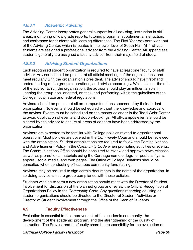## *4.8.3.1 Academic Advising*

The Advising Center incorporates general support for all advising, instruction in skill areas, monitoring of low grade reports, tutoring programs, supplemental instruction, and assistance for students with learning differences. The First Year Advisors work out of the Advising Center, which is located in the lower level of South Hall. All first-year students are assigned a professional advisor from the Advising Center. All upper class students generally are assigned a faculty advisor from their major field of study.

#### *4.8.3.2 Advising Student Organizations*

Each recognized student organization is required to have at least one faculty or staff advisor. Advisors should be present at all official meetings of the organizations, and meet regularly with the organization's president. The advisor should have first-hand understanding of the group's operations, and advise accordingly. While it is not the role of the advisor to run the organization, the advisor should play an influential role in keeping the group goal-oriented, on task; and performing within the guidelines of the College, local, state and federal regulations.

Advisors should be present at all on-campus functions sponsored by their student organization. No events should be scheduled without the knowledge and approval of the advisor. Events must be scheduled on the master calendar in the Todd Wehr Center to avoid duplication of events and double-bookings. All off-campus events should be cleared by the advisor to ensure all areas of concern have been addressed by the organization.

Advisors are expected to be familiar with College policies related to organizational operations. Most policies are covered in the *Community Code* and should be reviewed with the organization. Student organizations are required to follow the Posting Notices and Advertisement Policy in the *Community Code* when promoting activities or events. The Communications Office should be consulted to review and approve news releases as well as promotional materials using the Carthage name or logo for posters, flyers, apparel, social media, and web pages. The Office of College Relations should be consulted when conducting off-campus community fund raising.

Advisors may be required to sign certain documents in the name of the organization. In so doing, advisors insure group compliance with these policies.

Students wishing to form a new organization should meet with the Director of Student Involvement for discussion of the planned group and review the Official Recognition of Organizations Policy in the *Community Code*. Any questions regarding advising or student organizations should be directed to the Director of Student Activities or Director of Student Involvement through the Office of the Dean of Students.

#### **4.9 Faculty Effectiveness**

Evaluation is essential to the improvement of the academic community, the development of the academic program, and the strengthening of the quality of instruction. The Provost and the faculty share the responsibility for the evaluation of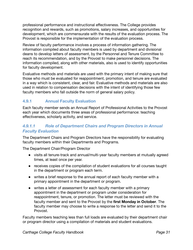professional performance and instructional effectiveness. The College provides recognition and rewards, such as promotions, salary increases, and opportunities for development, which are commensurate with the results of the evaluation process. The Provost is responsible for the implementation of the evaluation process.

Review of faculty performance involves a process of information gathering. The information compiled about faculty members is used by department and divisional deans to develop letters of assessment, by the Personnel and Tenure Committee to reach its recommendation, and by the Provost to make personnel decisions. The information compiled, along with other materials, also is used to identify opportunities for faculty development.

Evaluative methods and materials are used with the primary intent of making sure that those who must be evaluated for reappointment, promotion, and tenure are evaluated in a way which is consistent, clear, and fair. Evaluative methods and materials are also used in relation to compensation decisions with the intent of identifying those few faculty members who fall outside the norm of general salary policy.

## **4.9.1 Annual Faculty Evaluation**

Each faculty member sends an Annual Report of Professional Activities to the Provost each year which documents three areas of professional performance: teaching effectiveness, scholarly activity, and service.

## *4.9.1.1 Role of Department Chairs and Program Directors in Annual Faculty Evaluation*

The Department Chairs and Program Directors have the responsibility for evaluating faculty members within their Departments and Programs.

The Department Chair/Program Director

- visits all tenure-track and annual/multi-year faculty members at mutually agreed times, at least once per year.
- receives copies of the compilation of student evaluations for all courses taught in the department or program each term.
- writes a brief response to the annual report of each faculty member with a primary appointment in the department or program.
- writes a letter of assessment for each faculty member with a primary appointment in the department or program under consideration for reappointment, tenure, or promotion. The letter must be reviewed with the faculty member and sent to the Provost by the first Monday in October. The faculty member may choose to write a response to the letter and send it to the Provost.

Faculty members teaching less than full loads are evaluated by their department chair or program director using a compilation of materials and student evaluations.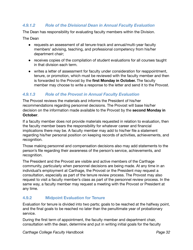## *4.9.1.2 Role of the Divisional Dean in Annual Faculty Evaluation*

The Dean has responsibility for evaluating faculty members within the Division.

The Dean

- requests an assessment of all tenure-track and annual/multi-year faculty members' advising, teaching, and professional competency from his/her department chair;
- receives copies of the compilation of student evaluations for all courses taught in that division each term.
- writes a letter of assessment for faculty under consideration for reappointment, tenure, or promotion, which must be reviewed with the faculty member and then is forwarded to the Provost by the first Monday in October. The faculty member may choose to write a response to the letter and send it to the Provost.

## *4.9.1.3 Role of the Provost in Annual Faculty Evaluation*

The Provost reviews the materials and informs the President of his/her recommendations regarding personnel decisions. The Provost will base his/her decision on the information made available to the Provost by the **second Monday in October**.

If a faculty member does not provide materials requested in relation to evaluation, then the faculty member bears the responsibility for whatever career and financial implications there may be. A faculty member may add to his/her file a statement regarding his/her personal position on keeping records of activities, achievements, and recognition.

Those making personnel and compensation decisions also may add statements to the person's file regarding their awareness of the person's service, achievements, and recognition.

The President and the Provost are visible and active members of the Carthage community, particularly when personnel decisions are being made. At any time in an individual's employment at Carthage, the Provost or the President may request a consultation, especially as part of the tenure review process. The Provost may also request to visit a faculty member's class as part of the personnel review process. In the same way, a faculty member may request a meeting with the Provost or President at any time.

#### **4.9.2 Midpoint Evaluation for Tenure**

Evaluation for tenure is divided into two parts; goals to be reached at the halfway point, and the final goals to be reached no later than the penultimate year of probationary service.

During the first term of appointment, the faculty member and department chair, consultation with the dean, determine and put in writing initial goals for the faculty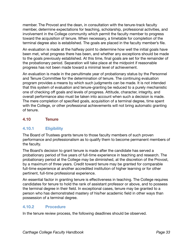member. The Provost and the dean, in consultation with the tenure-track faculty member, determine expectations for teaching, scholarship, professional activities, and involvement in the College community which permit the faculty member to progress toward the acquisition of tenure. When necessary, a timetable for completion of the terminal degree also is established. The goals are placed in the faculty member's file.

An evaluation is made at the halfway point to determine how well the initial goals have been met, what progress there has been, and whether any exceptions should be made to the goals previously established. At this time, final goals are set for the remainder of the probationary period. Separation will take place at the midpoint if reasonable progress has not been made toward a minimal level of achievement.

An evaluation is made in the penultimate year of probationary status by the Personnel and Tenure Committee for the determination of tenure. The continuing evaluation program provides a means by which such judgments can be made. It is not intended that this system of evaluation and tenure-granting be reduced to a purely mechanistic one of checking off goals and levels of progress. Attitude, character, integrity, and overall performance also must be taken into account when such a decision is made. The mere completion of specified goals, acquisition of a terminal degree, time spent with the College, or other professional achievements will not bring automatic granting of tenure.

## **4.10 Tenure**

#### **4.10.1 Eligibility**

The Board of Trustees grants tenure to those faculty members of such proven performance and professionalism as to qualify them to become permanent members of the faculty.

The Board's decision to grant tenure is made after the candidate has served a probationary period of five years of full-time experience in teaching and research. The probationary period at the College may be diminished, at the discretion of the Provost, by a maximum of three years. Credit toward tenure may be granted for comparable full-time experience at another accredited institution of higher learning or for other pertinent, full-time professional experience.

An essential factor in granting tenure is effectiveness in teaching. The College requires candidates for tenure to hold the rank of assistant professor or above, and to possess the terminal degree in their field. In exceptional cases, tenure may be granted to a person who has demonstrated mastery of his/her academic field in other ways than possession of a terminal degree.

#### **4.10.2 Procedure**

In the tenure review process, the following deadlines should be observed.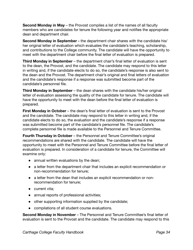**Second Monday in May** – the Provost compiles a list of the names of all faculty members who are candidates for tenure the following year and notifies the appropriate dean and department chair.

**Second Monday in September -** the department chair shares with the candidate his/ her original letter of evaluation which evaluates the candidate's teaching, scholarship, and contributions to the College community. The candidate will have the opportunity to meet with the department chair before the final letter of evaluation is prepared.

**Third Monday in September** – the department chair's final letter of evaluation is sent to the dean, the Provost, and the candidate. The candidate may respond to this letter in writing and, if the candidate elects to do so, the candidate's response is also sent to the dean and the Provost. The department chair's original and final letters of evaluation and the candidate's response if a response was submitted become part of the candidate's personnel file.

**Third Monday in September** – the dean shares with the candidate his/her original letter of evaluation assessing the quality of the candidate for tenure. The candidate will have the opportunity to meet with the dean before the final letter of evaluation is prepared.

**First Monday in October** – the dean's final letter of evaluation is sent to the Provost and the candidate. The candidate may respond to this letter in writing and, if the candidate elects to do so, the evaluation and the candidate's response if a response was submitted become part of the candidate's personnel file. The candidate's complete personnel file is made available to the Personnel and Tenure Committee.

**Fourth Thursday in October** – the Personnel and Tenure Committee's original recommendations are shared with the candidate. The candidate will have the opportunity to meet with the Personnel and Tenure Committee before the final letter of evaluation is prepared. In consideration of a candidate for tenure, the Committee will examine only:

- annual written evaluations by the dean;
- a letter from the department chair that includes an explicit recommendation or non-recommendation for tenure;
- a letter from the dean that includes an explicit recommendation or nonrecommendation for tenure;
- current vita;
- annual reports of professional activities;
- other supporting information supplied by the candidate;
- compilations of all student course evaluations.

**Second Monday in November** – The Personnel and Tenure Committee's final letter of evaluation is sent to the Provost and the candidate. The candidate may respond to this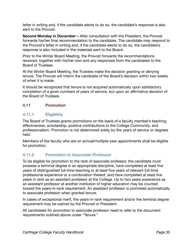letter in writing and, if the candidate elects to do so, the candidate's response is also sent to the Provost.

**Second Monday in December –** After consultation with the President, the Provost forwards his/her final recommendation to the candidate. The candidate may respond to the Provost's letter in writing and, if the candidate elects to do so, the candidate's response is also included in the materials sent to the Board.

Prior to the Winter Board Meeting, the Provost forwards the recommendations received, together with his/her own and any responses from the candidates to the Board of Trustees.

At the Winter Board Meeting, the Trustees make the decision granting or denying tenure. The Provost will inform the candidate of the Board's decision within two weeks of when it is made.

It should be recognized that tenure is not acquired automatically upon satisfactory completion of a given numbers of years of service, but upon an affirmative decision of the Board of Trustees.

## **4.11 Promotion**

## **4.11.1 Eligibility**

The Board of Trustees grants promotions on the basis of a faculty member's teaching effectiveness, scholarship, positive contributions to the College Community, and professionalism. Promotion is not determined solely by the years of service or degrees held.

Members of the faculty who are on annual/multiple-year appointments shall be eligible for promotion.

## **4.11.2 Promotion to Associate Professor**

To be eligible for promotion to the rank of associate professor, the candidate must possess a terminal degree in an appropriate discipline, have completed at least five years of distinguished full-time teaching or at least five years of relevant full-time professional experience or a combination thereof, and have completed at least five years in rank as an assistant professor at the College. Up to two years experience as an assistant professor at another institution of higher education may be counted toward the years-in-rank requirement. An assistant professor is promoted automatically to associate professor when granted tenure.

In cases of exceptional merit, the years-in-rank requirement and/or the terminal degree requirement may be waived by the Provost or President.

All candidates for promotion to associate professor need to refer to the document requirements outlined above under "Tenure."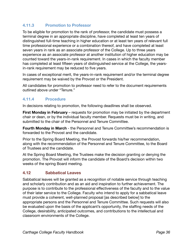## **4.11.3 Promotion to Professor**

To be eligible for promotion to the rank of professor, the candidate must possess a terminal degree in an appropriate discipline, have completed at least ten years of distinguished full-time teaching in higher education or at least ten years of relevant full time professional experience or a combination thereof, and have completed at least seven years in rank as an associate professor of the College. Up to three years experience as an associate professor at another institution of higher education may be counted toward the years-in-rank requirement. In cases in which the faculty member has completed at least fifteen years of distinguished service at the College, the yearsin-rank requirement may be reduced to five years.

In cases of exceptional merit, the years-in-rank requirement and/or the terminal degree requirement may be waived by the Provost or the President.

All candidates for promotion to professor need to refer to the document requirements outlined above under "Tenure."

#### **4.11.4 Procedure**

In decisions relating to promotion, the following deadlines shall be observed.

**First Monday in February** – requests for promotion may be initiated by the department chair or dean, or by the individual faculty member. Requests must be in writing, and submitted to the chair of the Personnel and Tenure Committee.

**Fourth Monday in March** - the Personnel and Tenure Committee's recommendation is forwarded to the Provost and the candidate.

Prior to the Spring Board Meeting, the Provost forwards his/her recommendation, along with the recommendation of the Personnel and Tenure Committee, to the Board of Trustees and the candidate.

At the Spring Board Meeting, the Trustees make the decision granting or denying the promotion. The Provost will inform the candidate of the Board's decision within two weeks of the spring Board meeting.

#### **4.12 Sabbatical Leaves**

Sabbatical leaves will be granted as a recognition of notable service through teaching and scholarly contribution and as an aid and inspiration to further achievement. The purpose is to contribute to the professional effectiveness of the faculty and to the value of their later service to the College. Faculty who intend to apply for a sabbatical leave must provide a coherent, well-planned proposal [as described below] to the appropriate persons and the Personnel and Tenure Committee. Such requests will also be evaluated upon the basis of the applicant's opportunity, the staffing needs of the College, desirability, anticipated outcomes, and contributions to the intellectual and classroom environments of the College.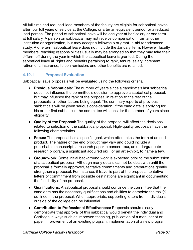All full-time and reduced-load members of the faculty are eligible for sabbatical leaves after four full years of service at the College, or after an equivalent period for a reduced load person. The period of sabbatical leave will be one year at half salary or one term at full salary. A person on sabbatical may not receive compensation from another institution or organization, but may accept a fellowship or grant-in-aid for advanced study. A one term sabbatical leave does not include the January Term. However, faculty members' teaching responsibilities usually may be arranged so that they may take their J-Term off during the year in which the sabbatical leave is granted. During the sabbatical leave all rights and benefits pertaining to rank, tenure, salary increment, retirement, insurance, tuition remission, and other benefits are retained.

## **4.12.1 Proposal Evaluation**

Sabbatical leave proposals will be evaluated using the following criteria.

- **Previous Sabbaticals:** The number of years since a candidate's last sabbatical does not influence the committee's decision to approve a sabbatical proposal, but may influence the rank of the proposal in relation to the rest of the proposals, all other factors being equal. The summary reports of previous sabbaticals will be given serious consideration. If the candidate is applying for his or her first sabbatical, the committee will consider the number of years since eligibility.
- **Quality of the Proposal:** The quality of the proposal will affect the decisions related to selection of the sabbatical proposal. High-quality proposals have the following characteristics.
- **Focus:** The proposal has a specific goal, which often takes the form of an end product. The nature of the end product may vary and could include a publishable manuscript, a research paper, a concert tour, an undergraduate research program, a significant acquired skill, or an art exhibit, to name a few.
- **Groundwork:** Some initial background work is expected prior to the submission of a sabbatical proposal. Although many details cannot be dealt with until the proposal is formally approved, tentative commitments and preparations greatly strengthen a proposal. For instance, if travel is part of the proposal, tentative letters of commitment from possible destinations are significant in documenting the feasibility of the proposal.
- **Qualifications:** A sabbatical proposal should convince the committee that the candidate has the necessary qualifications and abilities to complete the task(s) outlined in the proposal. When appropriate, supporting letters from individuals outside of the college can be influential.
- **Contribution to Professional Effectiveness:** Proposals should clearly demonstrate that approval of this sabbatical would benefit the individual and Carthage in ways such as improved teaching, publication of a manuscript or paper, improvement of an existing program, implementation of a new program,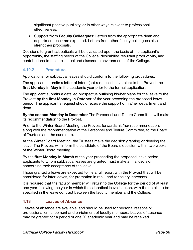significant positive publicity, or in other ways relevant to professional effectiveness.

• **Support from Faculty Colleagues:** Letters from the appropriate dean and department chair are expected. Letters from other faculty colleagues also strengthen proposals.

Decisions to grant sabbaticals will be evaluated upon the basis of the applicant's opportunity, the staffing needs of the College, desirability, resultant productivity, and contributions to the intellectual and classroom environments of the College.

## **4.12.2 Procedure**

Applications for sabbatical leaves should conform to the following procedures:

The applicant submits a letter of intent (not a detailed leave plan) to the Provost the **first Monday in May** in the academic year prior to the formal application.

The applicant submits a detailed prospectus outlining his/her plans for the leave to the Provost by the first Monday in October of the year preceding the proposed leave period. The applicant's request should receive the support of his/her department and dean.

**By the second Monday in December** The Personnel and Tenure Committee will make its recommendation to the Provost.

Prior to the Winter Board Meeting, the Provost forwards his/her recommendation, along with the recommendation of the Personnel and Tenure Committee, to the Board of Trustees and the candidate.

At the Winter Board Meeting, the Trustees make the decision granting or denying the leave. The Provost will inform the candidate of the Board's decision within two weeks of the Winter Board meeting.

By the **first Monday in March** of the year proceeding the proposed leave period, applicants to whom sabbatical leaves are granted must make a final decision concerning their acceptance of the leave.

Those granted a leave are expected to file a full report with the Provost that will be considered for later leaves, for promotion in rank, and for salary increases.

It is required that the faculty member will return to the College for the period of at least one year following the year in which the sabbatical leave is taken, with the details to be specified in the leave contract between the faculty member and the College.

## **4.13 Leaves of Absence**

Leaves of absence are available, and should be used for personal reasons or professional enhancement and enrichment of faculty members. Leaves of absence may be granted for a period of one (1) academic year and may be renewed.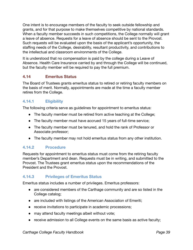One intent is to encourage members of the faculty to seek outside fellowship and grants, and for that purpose to make themselves competitive by national standards. When a faculty member succeeds in such competitions, the College normally will grant a leave of absence. Requests for a leave of absence should be sent to the Provost. Such requests will be evaluated upon the basis of the applicant's opportunity, the staffing needs of the College, desirability, resultant productivity, and contributions to the intellectual and classroom environments of the College.

It is understood that no compensation is paid by the college during a Leave of Absence. Health Care Insurance carried by and through the College will be continued, but the faculty member will be required to pay the full premium.

## **4.14 Emeritus Status**

The Board of Trustees grants emeritus status to retired or retiring faculty members on the basis of merit. Normally, appointments are made at the time a faculty member retires from the College.

#### **4.14.1 Eligibility**

The following criteria serve as guidelines for appointment to emeritus status:

- The faculty member must be retired from active teaching at the College;
- The faculty member must have accrued 15 years of full-time service;
- The faculty member must be tenured, and hold the rank of Professor or Associate professor;
- The faculty member may not hold emeritus status from any other institution.

#### **4.14.2 Procedure**

Requests for appointment to emeritus status must come from the retiring faculty member's Department and dean. Requests must be in writing, and submitted to the Provost. The Trustees grant emeritus status upon the recommendations of the President and the Provost.

#### **4.14.3 Privileges of Emeritus Status**

Emeritus status includes a number of privileges. Emeritus professors:

- are considered members of the Carthage community and are so listed in the College catalog;
- are included with listings of the American Association of Emeriti;
- receive invitations to participate in academic processions;
- may attend faculty meetings albeit without vote;
- receive admission to all College events on the same basis as active faculty;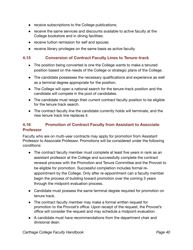- receive subscriptions to the College publications;
- receive the same services and discounts available to active faculty at the College bookstore and in dining facilities;
- receive tuition remission for self and spouse;
- receive library privileges on the same basis as active faculty.

#### **4.15 • Conversion of Contract Faculty Lines to Tenure-track**

- The position being converted is one the College wants to make a tenured position based on the needs of the College or strategic plans of the College.
- The candidate possesses the necessary qualifications and experience as well as a terminal degree appropriate for the position.
- The College will open a national search for the tenure-track position and the candidate will compete in the pool of candidates.
- The candidate must resign their current contract faculty position to be eligible for the tenure track search.
- The contract faculty line the candidate currently holds will terminate, and the new tenure track line replaces it.

## **4.16 Promotion of Contract Faculty from Assistant to Associate Professor**

Faculty who are on multi-year contracts may apply for promotion from Assistant Professor to Associate Professor. Promotions will be considered under the following conditions:

- The contract faculty member must complete at least five years in rank as an assistant professor at the College and successfully complete the contract renewal process with the Promotion and Tenure Committee and the Provost to be eligible for promotion. Successful completion includes formal reappointment by the College. Only after re-appointment can a faculty member begin the process of building toward promotion over the coming 3 years through the midpoint evaluation process.
- Candidate must possess the same terminal degree required for promotion on tenure track.
- The contract faculty member may make a formal written request for promotion to the Provost's office. Upon receipt of the request, the Provost's office will consider the request and may schedule a midpoint evaluation.
- A candidate must have recommendations from the department chair and divisional dean.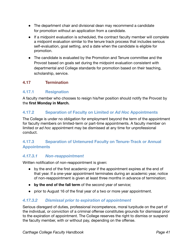- The department chair and divisional dean may recommend a candidate for promotion without an application from a candidate.
- If a midpoint evaluation is scheduled, the contract faculty member will complete a midpoint evaluation similar to the tenure track process that includes serious self-evaluation, goal setting, and a date when the candidate is eligible for promotion.
- The candidate is evaluated by the Promotion and Tenure committee and the Provost based on goals set during the midpoint evaluation consistent with departmental and College standards for promotion based on their teaching, scholarship, service.

## **4.17 Termination**

#### **4.17.1 Resignation**

A faculty member who chooses to resign his/her position should notify the Provost by the **first Monday in March.** 

#### **4.17.2 • Separation of Faculty on Limited or Ad Hoc Appointments**

The College is under no obligation for employment beyond the term of the appointment for faculty members on limited-term or part-time appointments. A faculty member on limited or *ad hoc* appointment may be dismissed at any time for unprofessional conduct.

## **4.17.3 Separation of Untenured Faculty on Tenure-Track or Annual Appointments**

#### *4.17.3.1 Non-reappointment*

Written notification of non-reappointment is given:

- by the end of the first academic year if the appointment expires at the end of that year. If a one-year appointment terminates during an academic year, notice of non-reappointment is given at least three months in advance of termination;
- **by the end of the fall term** of the second year of service;
- prior to August 16 of the final year of a two or more year appointment.

#### *4.17.3.2 Dismissal prior to expiration of appointment*

Serious disregard of duties, professional incompetence, moral turpitude on the part of the individual, or conviction of a criminal offense constitutes grounds for dismissal prior to the expiration of appointment. The College reserves the right to dismiss or suspend the faculty member, with or without pay, depending on the offense.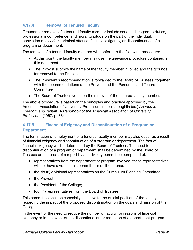## **4.17.4 Removal of Tenured Faculty**

Grounds for removal of a tenured faculty member include serious disregard to duties, professional incompetence, and moral turpitude on the part of the individual, conviction of a *serious* criminal offense, financial exigency, or discontinuance of a program or department.

The removal of a tenured faculty member will conform to the following procedure:

- At this point, the faculty member may use the grievance procedure contained in this document.
- The Provost submits the name of the faculty member involved and the grounds for removal to the President.
- The President's recommendation is forwarded to the Board of Trustees, together with the recommendations of the Provost and the Personnel and Tenure Committee.
- The Board of Trustees votes on the removal of the tenured faculty member.

The above procedure is based on the principles and practice approved by the American Association of University Professors in Louis Joughlin (ed.) Academic *Freedom and Tenure: A Handbook of the American Association of University Professors.* (1967, p. 38)

## **4.17.5 Financial Exigency and Discontinuation of a Program or Department**

The termination of employment of a tenured faculty member may also occur as a result of financial exigency or discontinuation of a program or department. The fact of financial exigency will be determined by the Board of Trustees. The need for discontinuation of a program or department shall be determined by the Board of Trustees on the basis of a report by an advisory committee composed of:

- representatives from the department or program involved (these representatives will not have a vote in this committee's deliberations);
- the six (6) divisional representatives on the Curriculum Planning Committee;
- the Provost;
- the President of the College;
- four (4) representatives from the Board of Trustees.

This committee shall be especially sensitive to the official position of the faculty regarding the impact of the proposed discontinuation on the goals and mission of the College.

In the event of the need to reduce the number of faculty for reasons of financial exigency or in the event of the discontinuation or reduction of a department program,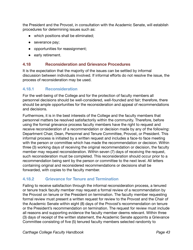the President and the Provost, in consultation with the Academic Senate, will establish procedures for determining issues such as:

- which positions shall be eliminated;
- severance pay;
- opportunities for reassignment;
- early retirement.

#### **4.18 Reconsideration and Grievance Procedures**

It is the expectation that the majority of the issues can be settled by informal discussion between individuals involved. If informal efforts do not resolve the issue, the process of reconsideration may be used.

## **4.18.1 Reconsideration**

For the well-being of the College and for the protection of faculty members all personnel decisions should be well-considered, well-founded and fair; therefore, there should be ample opportunities for the reconsideration and appeal of recommendations and decisions.

Furthermore, it is in the best interests of the College and the faculty members that personnel matters be resolved satisfactorily within the community. Therefore, before using the formal grievance process faculty members have the right to request and receive reconsideration of a recommendation or decision made by any of the following: Department Chair, Dean, Personnel and Tenure Committee, Provost, or President. This informal process is initiated by a written request and includes a face-to face meeting with the person or committee which has made the recommendation or decision. Within three (3) working days of receiving the original recommendation or decision, the faculty member may request reconsideration. Within seven (7) days of receiving the request, such reconsideration must be completed. This reconsideration should occur prior to a recommendation being sent by the person or committee to the next level. All letters containing original and reconsidered recommendations or decisions shall be forwarded, with copies to the faculty member.

## **4.18.2 Grievance for Tenure and Termination**

Failing to receive satisfaction through the informal reconsideration process, a tenured or tenure track faculty member may request a formal review of a recommendation by the Provost on tenure or the President on termination. The faculty member requesting formal review must present a written request for review to the Provost and the Chair of the Academic Senate within eight (8) days of the Provost's recommendation on tenure or the President's recommendation on termination. The request for review must include all reasons and supporting evidence the faculty member deems relevant. Within three (3) days of receipt of the written statement, the Academic Senate appoints a Grievance Committee consisting of five (5) tenured faculty members selected randomly to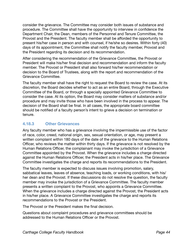consider the grievance. The Committee may consider both issues of substance and procedure. The Committee shall have the opportunity to interview in confidence the Department Chair, the Dean, members of the Personnel and Tenure Committee, the Provost and the President. The faculty member shall be afforded the opportunity to present his/her case in person and with counsel, if he/she so desires. Within forty (40) days of its appointment, the Committee shall notify the faculty member, Provost and the President regarding its decision and its recommendation.

After considering the recommendation of the Grievance Committee, the Provost or President will make his/her final decision and recommendation and inform the faculty member. The Provost or President shall also forward his/her recommendation or decision to the Board of Trustees, along with the report and recommendation of the Grievance Committee.

The faculty member shall have the right to request the Board to review the case. At its discretion, the Board decides whether to act as an entire Board, through the Executive Committee of the Board, or through a specially appointed Grievance Committee to consider the case. At its option, the Board may consider matters of substance and/or procedure and may invite those who have been involved in the process to appear. The decision of the Board shall be final. In all cases, the appropriate board committee should be notified of a faculty person's intent to grieve a decision on termination or tenure.

## **4.18.3 Other Grievances**

Any faculty member who has a grievance involving the impermissible use of the factor of race, color, creed, national origin, sex, sexual orientation, or age, may present a written complaint within 180 days of the date of the grievance to the Human Relations Officer, who reviews the matter within thirty days. If the grievance is not resolved by the Human Relations Officer, the complainant may invoke the jurisdiction of a Grievance Committee appointed by the Provost. When the grievance includes a charge directed against the Human Relations Officer, the President acts in his/her place. The Grievance Committee investigates the charge and reports its recommendations to the President.

The faculty member is expected to discuss issues involving promotion, salary, sabbatical leaves, leaves of absence, teaching loads, or working conditions, with his/ her dean and the Provost. If these discussions do not resolve the question, the faculty member may invoke the jurisdiction of a Grievance Committee. The faculty member presents a written complaint to the Provost, who appoints a Grievance Committee. When the grievance includes a charge directed against the Provost, the President acts in his/her place. A Grievance Committee investigates the charge and reports its recommendations to the Provost or the President.

The Provost or the President makes the final decision.

Questions about complaint procedures and grievance committees should be addressed to the Human Relations Officer or the Provost.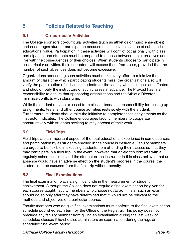# **5 Policies Related to Teaching**

## **5.1 Co-curricular Activities**

The College sponsors co-curricular activities (such as athletics or music ensembles) and encourages student participation because these activities can be of substantial  $64$  educational value. Participation in these activities will conflict occasionally with class participation, and students must be prepared to choose between the alternatives and live with the consequences of their choices. When students choose to participate in co-curricular activities, their instructors will excuse them from class, provided that the number of such absences does not become excessive.

Organizations sponsoring such activities must make every effort to minimize the amount of class time which participating students miss; the organizations also will verify the participation of individual students for the faculty whose classes are affected, and should notify the instructors of such classes in advance. The Provost has final responsibility to ensure that sponsoring organizations and the Athletic Director minimize conflicts with class time.

While the student may be excused from class attendance, responsibility for making up assignments, tests, and other course activities rests solely with the student. Furthermore, students should take the initiative to complete these assignments as the instructor indicates. The College encourages faculty members to cooperate constructively with students seeking to stay abreast of their work.

## **5.2 Field Trips**

Field trips are an important aspect of the total educational experience in some courses, and participation by all students enrolled in the course is desirable. Faculty members are urged to be flexible in excusing students from attending their classes so that they may participate in a field trip. In the event, however, that a field trip conflicts with a regularly scheduled class and the student or the instructor in this class believes that an absence would have an adverse effect on the student's progress in the course, the student is to be excused from the field trip without penalty.

## **5.3 Final Examinations**

The final examination plays a significant role in the measurement of student achievement. Although the College does not require a final examination be given for each course taught, faculty members who choose not to administer such an exam should do so only after they have determined that it would not be relevant to the methods and objectives of a particular course.

Faculty members who do give final examinations must conform to the final examination schedule published each term by the Office of the Registrar. This policy does not preclude any faculty member from giving an examination during the last week of scheduled classes if he/she also administers an examination during the regular scheduled final exam period.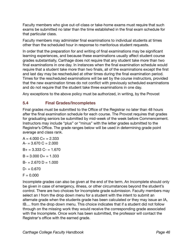Faculty members who give out-of-class or take-home exams must require that such exams be submitted no later than the time established in the final exam schedule for that particular class.

Faculty members may administer final examinations to individual students at times other than the scheduled hour in response to meritorious student requests.

In order that the preparation for and writing of final examinations may be significant learning experiences, and because these examinations usually affect student course grades substantially, Carthage does not require that any student take more than two final examinations in one day. In instances when the final examination schedule would require that a student take more than two finals, all of the examinations except the first and last day may be rescheduled at other times during the final examination period. Times for the rescheduled examinations will be set by the course instructors, provided that the new examination times do not conflict with previously scheduled examinations and do not require that the student take three examinations in one day.

Any exceptions to the above policy must be authorized, in writing, by the Provost

## **5.4 Final Grades/Incompletes**

Final grades must be submitted to the Office of the Registrar no later than 48 hours after the final examination schedule for each course. The Provost requires that grades for graduating seniors be submitted by mid-week of the week before Commencement. Instructors may include "plus" or "minus" with the letter grades submitted to the Registrar's Office. The grade ranges below will be used in determining grade point average and class rank.

 $A = 4.000 C + 2.333$  $A = 3.670 C = 2.000$  $B_+ = 3.333$  C- = 1.670  $B = 3.000 D + 1.333$  $B = 2.670 D = 1.000$  $D = 0.670$  $F = 0.000$ 

Incomplete grades can also be given at the end of the term. An Incomplete should only be given in case of emergency, illness, or other circumstances beyond the student's control. There are two choices for Incomplete grade submission. Faculty members may select an I from the drop down menu for a student with the intent to submit an alternate grade when the students grade has been calculated or they may issue an IA, IB.... from the drop down menu. This choice indicates that if a student did not follow through on the missing work they would receive the corresponding grade associated with the Incomplete. Once work has been submitted, the professor will contact the Registrar's office with the earned grade.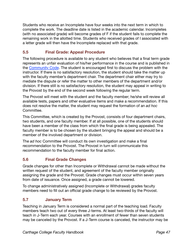Students who receive an Incomplete have four weeks into the next term in which to complete the work. The deadline date is listed in the academic calendar. Incompletes (with no associated grade) will become grades of F if the student fails to complete the remaining work in the allotted time. Students who received grades of I associated with a letter grade will then have the Incomplete replaced with that grade.

## **5.5 Final Grade: Appeal Procedure**

The following procedure is available to any student who believes that a final term grade represents an unfair evaluation of his/her performance in the course and is published in the Community Code. The student is encouraged first to discuss the problem with the instructor. If there is no satisfactory resolution, the student should take the matter up with the faculty member's department chair. The department chair either may try to mediate the dispute or refer the matter to other members of the department and/or division. If there still is no satisfactory resolution, the student may appeal in writing to the Provost by the end of the second week following the regular term.

The Provost will meet with the student and the faculty member; he/she will review all available tests, papers and other evaluative items and make a recommendation. If this does not resolve the matter, the student may request the formation of an *ad hoc*  Committee.

This Committee, which is created by the Provost, consists of four department chairs, two students, and one faculty member. If at all possible, one of the students should have been a member of the class from which the final grade is being appealed. The faculty member is to be chosen by the student bringing the appeal and should be a member of the involved department or division.

The *ad hoc* Committee will conduct its own investigation and make a final recommendation to the Provost. The Provost in turn will communicate this recommendation to the faculty member for final action.

## **5.6 Final Grade Changes**

Grade changes for other than Incomplete or Withdrawal cannot be made without the written request of the student, and agreement of the faculty member originally assigning the grade and the Provost. Grade changes must occur within seven years from date of issuance. Once assigned, a grade cannot be lowered.

To change administratively assigned (Incomplete or Withdrawal) grades faculty members need to fill out an official grade change to be reviewed by the Provost.

## **5.7 January Term**

Teaching in January Term is considered a normal part of the teaching load. Faculty members teach two out of every three J-terms. At least two-thirds of the faculty will teach in J-Term each year. Courses with an enrollment of fewer than seven students may be canceled by the Provost. If a J-Term course is canceled, the instructor may be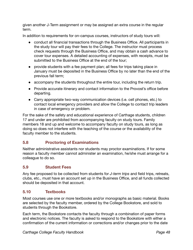given another J-Term assignment or may be assigned an extra course in the regular term.

In addition to requirements for on-campus courses, instructors of study tours will:

- conduct all financial transactions through the Business Office. All participants in the study tour will pay their fees to the College. The instructor must process check requests through the Business Office, and may obtain a cash advance to cover tour expenses. A detailed accounting of expenses, with receipts, must be submitted to the Business Office at the end of the tour;
- provide students with a fee payment plan; all fees for trips taking place in January must be deposited in the Business Office by no later than the end of the previous fall term;
- accompany the students throughout the entire tour, including the return trip.
- Provide accurate itinerary and contact information to the Provost's office before departing.
- Carry appropriate two-way communication devices (i.e. cell phones, etc.) to contact local emergency providers and allow the College to contact trip leaders in case of emergency or problem.

For the sake of the safety and educational experience of Carthage students, children 17 and under are prohibited from accompanying faculty on study tours. Family members 18 and up and welcome to accompany faculty on study tours, as long as doing so does not interfere with the teaching of the course or the availability of the faculty member to the students.

## **5.8 Proctoring of Examinations**

Neither administrative assistants nor students may proctor examinations. If for some reason a faculty member cannot administer an examination, he/she must arrange for a colleague to do so.

## **5.9 Student Fees**

Any fee proposed to be collected from students for *J-term trips* and field trips, retreats, clubs, etc., must have an account set up in the Business Office, and all funds collected should be deposited in that account.

## **5.10 Textbooks**

Most courses use one or more textbooks and/or monographs as basic material. Books are selected by the faculty member, ordered by the College Bookstore, and sold to students through the Bookstore.

Each term, the Bookstore contacts the faculty through a combination of paper forms and electronic notices. The faculty is asked to respond to the Bookstore with either a confirmation of the current information or corrections and/or changes prior to the date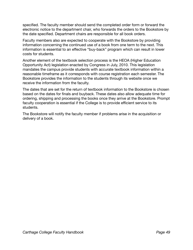specified. The faculty member should send the completed order form or forward the electronic notice to the department chair, who forwards the orders to the Bookstore by the date specified. Department chairs are responsible for all book orders.

Faculty members also are expected to cooperate with the Bookstore by providing information concerning the continued use of a book from one term to the next. This information is essential to an effective "buy-back" program which can result in lower costs for students.

Another element of the textbook selection process is the HEOA (Higher Education Opportunity Act) legislation enacted by Congress in July, 2010. This legislation mandates the campus provide students with accurate textbook information within a reasonable timeframe as it corresponds with course registration each semester. The Bookstore provides the information to the students through its website once we receive the information from the faculty.

The dates that are set for the return of textbook information to the Bookstore is chosen based on the dates for finals and buyback. These dates also allow adequate time for ordering, shipping and processing the books once they arrive at the Bookstore. Prompt faculty cooperation is essential if the College is to provide efficient service to its students.

The Bookstore will notify the faculty member if problems arise in the acquisition or delivery of a book.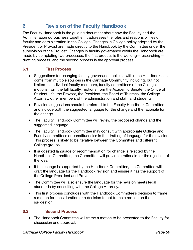# **6 Revision of the Faculty Handbook**

The Faculty Handbook is the guiding document about how the Faculty and the Administration do business together. It addresses the roles and responsibilities of faculty and administration in the College. Changes in College policy adopted by the President or Provost are made directly to the Handbook by the Committee under the supervision of the Provost. Changes in faculty governance within the Handbook are made by completing two processes: the first process is the working-researchingdrafting process, and the second process is the approval process.

#### **6.1 First Process**

- Suggestions for changing faculty governance policies within the Handbook can come from multiple sources in the Carthage Community including, but not limited to: individual faculty members, faculty committees of the College, motions from the full faculty, motions from the Academic Senate, the Office of Student Life, the Provost, the President, the Board of Trustees, the College Attorney, other members of the administration and staff, and students.
- Revision suggestions should be referred to the Faculty Handbook Committee and include both the suggested language for the change and the rationale for the change.
- The Faculty Handbook Committee will review the proposed change and the suggested language.
- The Faculty Handbook Committee may consult with appropriate College and Faculty committees or constituencies in the drafting of language for the revision. This process is likely to be iterative between the Committee and different College groups
- If suggested language or recommendation for change is rejected by the Handbook Committee, the Committee will provide a rationale for the rejection of the idea.
- If the change is supported by the Handbook Committee, the Committee will draft the language for the Handbook revision and ensure it has the support of the College President and Provost.
- The Committee will also ensure the language for the revision meets legal standards by consulting with the College Attorney.
- This first process concludes with the Handbook Committee's decision to frame a motion for consideration or a decision to not frame a motion on the suggestion.

#### **6.2 Second Process**

● The Handbook Committee will frame a motion to be presented to the Faculty for discussion and approval.